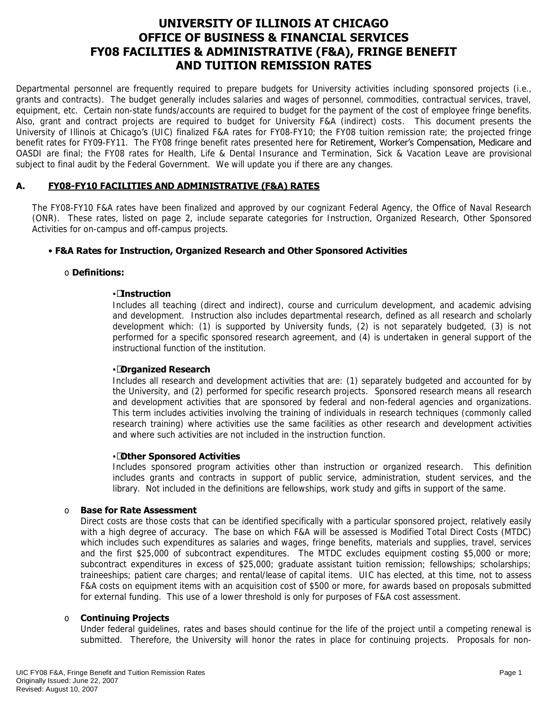# **UNIVERSITY OF ILLINOIS AT CHICAGO OFFICE OF BUSINESS & FINANCIAL SERVICES FY08 FACILITIES & ADMINISTRATIVE (F&A), FRINGE BENEFIT AND TUITION REMISSION RATES**

Departmental personnel are frequently required to prepare budgets for University activities including sponsored projects (i.e., grants and contracts). The budget generally includes salaries and wages of personnel, commodities, contractual services, travel, equipment, etc. Certain non-state funds/accounts are required to budget for the payment of the cost of employee fringe benefits. Also, grant and contract projects are required to budget for University F&A (indirect) costs. This document presents the University of Illinois at Chicago's (UIC) finalized F&A rates for FY08-FY10; the FY08 tuition remission rate; the projected fringe benefit rates for FY09-FY11. The FY08 fringe benefit rates presented here for Retirement, Worker's Compensation, Medicare and OASDI are final; the FY08 rates for Health, Life & Dental Insurance and Termination, Sick & Vacation Leave are provisional subject to final audit by the Federal Government. We will update you if there are any changes.

## **A. FY08-FY10 FACILITIES AND ADMINISTRATIVE (F&A) RATES**

The FY08-FY10 F&A rates have been finalized and approved by our cognizant Federal Agency, the Office of Naval Research (ONR). These rates, listed on page 2, include separate categories for Instruction, Organized Research, Other Sponsored Activities for on-campus and off-campus projects.

### • **F&A Rates for Instruction, Organized Research and Other Sponsored Activities**

### o **Definitions:**

#### ▪**Instruction**

Includes all teaching (direct and indirect), course and curriculum development, and academic advising and development. Instruction also includes departmental research, defined as all research and scholarly development which: (1) is supported by University funds, (2) is not separately budgeted, (3) is not performed for a specific sponsored research agreement, and (4) is undertaken in general support of the instructional function of the institution.

### ▪**Organized Research**

Includes all research and development activities that are: (1) separately budgeted and accounted for by the University, and (2) performed for specific research projects. Sponsored research means all research and development activities that are sponsored by federal and non-federal agencies and organizations. This term includes activities involving the training of individuals in research techniques (commonly called research training) where activities use the same facilities as other research and development activities and where such activities are not included in the instruction function.

### ▪**Other Sponsored Activities**

Includes sponsored program activities other than instruction or organized research. This definition includes grants and contracts in support of public service, administration, student services, and the library. Not included in the definitions are fellowships, work study and gifts in support of the same.

### o **Base for Rate Assessment**

Direct costs are those costs that can be identified specifically with a particular sponsored project, relatively easily with a high degree of accuracy. The base on which F&A will be assessed is Modified Total Direct Costs (MTDC) which includes such expenditures as salaries and wages, fringe benefits, materials and supplies, travel, services and the first \$25,000 of subcontract expenditures. The MTDC excludes equipment costing \$5,000 or more; subcontract expenditures in excess of \$25,000; graduate assistant tuition remission; fellowships; scholarships; traineeships; patient care charges; and rental/lease of capital items. UIC has elected, at this time, not to assess F&A costs on equipment items with an acquisition cost of \$500 or more, for awards based on proposals submitted for external funding. This use of a lower threshold is only for purposes of F&A cost assessment.

#### o **Continuing Projects**

Under federal guidelines, rates and bases should continue for the life of the project until a competing renewal is submitted. Therefore, the University will honor the rates in place for continuing projects. Proposals for non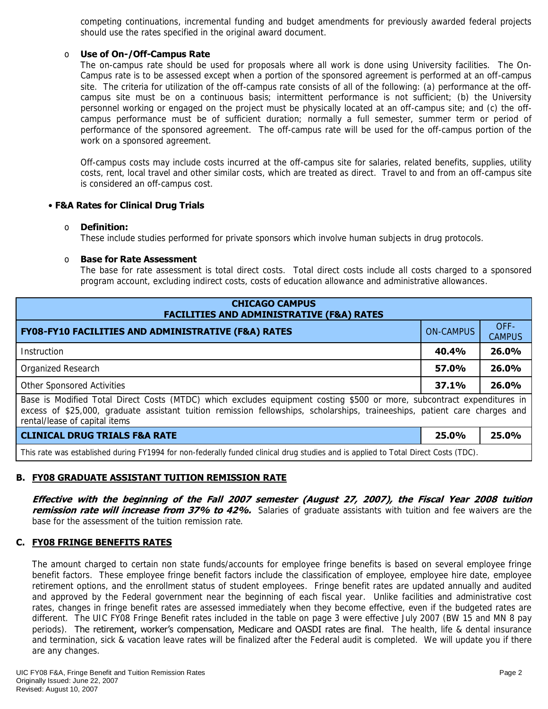competing continuations, incremental funding and budget amendments for previously awarded federal projects should use the rates specified in the original award document.

### Use of On-/Off-Campus Rate

The on-campus rate should be used for proposals where all work is done using University facilities. The On-Campus rate is to be assessed except when a portion of the sponsored agreement is performed at an off-campus site. The criteria for utilization of the off-campus rate consists of all of the following: (a) performance at the offcampus site must be on a continuous basis; intermittent performance is not sufficient; (b) the University personnel working or engaged on the project must be physically located at an off-campus site; and (c) the offcampus performance must be of sufficient duration; normally a full semester, summer term or period of performance of the sponsored agreement. The off-campus rate will be used for the off-campus portion of the work on a sponsored agreement.

Off-campus costs may include costs incurred at the off-campus site for salaries, related benefits, supplies, utility costs, rent, local travel and other similar costs, which are treated as direct. Travel to and from an off-campus site is considered an off-campus cost.

#### • **F&A Rates for Clinical Drug Trials**

#### o **Definition:**

These include studies performed for private sponsors which involve human subjects in drug protocols.

#### o **Base for Rate Assessment**

The base for rate assessment is total direct costs. Total direct costs include all costs charged to a sponsored program account, excluding indirect costs, costs of education allowance and administrative allowances.

| <b>CHICAGO CAMPUS</b><br><b>FACILITIES AND ADMINISTRATIVE (F&amp;A) RATES</b>                                                                                                                                                                                                         |                  |                       |  |  |  |
|---------------------------------------------------------------------------------------------------------------------------------------------------------------------------------------------------------------------------------------------------------------------------------------|------------------|-----------------------|--|--|--|
| FY08-FY10 FACILITIES AND ADMINISTRATIVE (F&A) RATES                                                                                                                                                                                                                                   | <b>ON-CAMPUS</b> | OFF-<br><b>CAMPUS</b> |  |  |  |
| Instruction                                                                                                                                                                                                                                                                           | 40.4%            | 26.0%                 |  |  |  |
| Organized Research                                                                                                                                                                                                                                                                    | 57.0%            | 26.0%                 |  |  |  |
| Other Sponsored Activities                                                                                                                                                                                                                                                            | 37.1%            | 26.0%                 |  |  |  |
| Base is Modified Total Direct Costs (MTDC) which excludes equipment costing \$500 or more, subcontract expenditures in<br>excess of \$25,000, graduate assistant tuition remission fellowships, scholarships, traineeships, patient care charges and<br>rental/lease of capital items |                  |                       |  |  |  |
| <b>CLINICAL DRUG TRIALS F&amp;A RATE</b>                                                                                                                                                                                                                                              | 25.0%            | 25.0%                 |  |  |  |
| This rate was established during FY1994 for non-federally funded clinical drug studies and is applied to Total Direct Costs (TDC).                                                                                                                                                    |                  |                       |  |  |  |

## **B. FY08 GRADUATE ASSISTANT TUITION REMISSION RATE**

**Effective with the beginning of the Fall 2007 semester (August 27, 2007), the Fiscal Year 2008 tuition remission rate will increase from 37% to 42%.** Salaries of graduate assistants with tuition and fee waivers are the base for the assessment of the tuition remission rate.

### **C. FY08 FRINGE BENEFITS RATES**

The amount charged to certain non state funds/accounts for employee fringe benefits is based on several employee fringe benefit factors. These employee fringe benefit factors include the classification of employee, employee hire date, employee retirement options, and the enrollment status of student employees. Fringe benefit rates are updated annually and audited and approved by the Federal government near the beginning of each fiscal year. Unlike facilities and administrative cost rates, changes in fringe benefit rates are assessed immediately when they become effective, even if the budgeted rates are different. The UIC FY08 Fringe Benefit rates included in the table on page 3 were effective July 2007 (BW 15 and MN 8 pay periods). The retirement, worker's compensation, Medicare and OASDI rates are final. The health, life & dental insurance and termination, sick & vacation leave rates will be finalized after the Federal audit is completed. We will update you if there are any changes.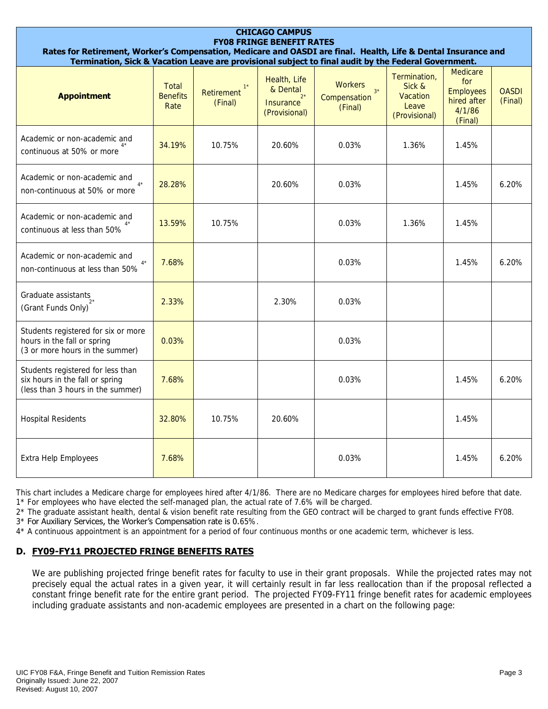| <b>CHICAGO CAMPUS</b><br><b>FY08 FRINGE BENEFIT RATES</b><br>Rates for Retirement, Worker's Compensation, Medicare and OASDI are final. Health, Life & Dental Insurance and<br>Termination, Sick & Vacation Leave are provisional subject to final audit by the Federal Government. |                                  |                                      |                                                                        |                                                          |                                                              |                                                                         |                         |
|-------------------------------------------------------------------------------------------------------------------------------------------------------------------------------------------------------------------------------------------------------------------------------------|----------------------------------|--------------------------------------|------------------------------------------------------------------------|----------------------------------------------------------|--------------------------------------------------------------|-------------------------------------------------------------------------|-------------------------|
| <b>Appointment</b>                                                                                                                                                                                                                                                                  | Total<br><b>Benefits</b><br>Rate | $1^{\star}$<br>Retirement<br>(Final) | Health, Life<br>& Dental<br>$2^*$<br><i>Insurance</i><br>(Provisional) | <b>Workers</b><br>$3^{\star}$<br>Compensation<br>(Final) | Termination.<br>Sick &<br>Vacation<br>Leave<br>(Provisional) | Medicare<br>for<br><b>Employees</b><br>hired after<br>4/1/86<br>(Final) | <b>OASDI</b><br>(Final) |
| Academic or non-academic and<br>continuous at 50% or more                                                                                                                                                                                                                           | 34.19%                           | 10.75%                               | 20.60%                                                                 | 0.03%                                                    | 1.36%                                                        | 1.45%                                                                   |                         |
| Academic or non-academic and<br>non-continuous at 50% or more                                                                                                                                                                                                                       | 28.28%                           |                                      | 20.60%                                                                 | 0.03%                                                    |                                                              | 1.45%                                                                   | 6.20%                   |
| Academic or non-academic and<br>continuous at less than 50%                                                                                                                                                                                                                         | 13.59%                           | 10.75%                               |                                                                        | 0.03%                                                    | 1.36%                                                        | 1.45%                                                                   |                         |
| Academic or non-academic and<br>$4^*$<br>non-continuous at less than 50%                                                                                                                                                                                                            | 7.68%                            |                                      |                                                                        | 0.03%                                                    |                                                              | 1.45%                                                                   | 6.20%                   |
| Graduate assistants<br>(Grant Funds Only)                                                                                                                                                                                                                                           | 2.33%                            |                                      | 2.30%                                                                  | 0.03%                                                    |                                                              |                                                                         |                         |
| Students registered for six or more<br>hours in the fall or spring<br>(3 or more hours in the summer)                                                                                                                                                                               | 0.03%                            |                                      |                                                                        | 0.03%                                                    |                                                              |                                                                         |                         |
| Students registered for less than<br>six hours in the fall or spring<br>(less than 3 hours in the summer)                                                                                                                                                                           | 7.68%                            |                                      |                                                                        | 0.03%                                                    |                                                              | 1.45%                                                                   | 6.20%                   |
| <b>Hospital Residents</b>                                                                                                                                                                                                                                                           | 32.80%                           | 10.75%                               | 20.60%                                                                 |                                                          |                                                              | 1.45%                                                                   |                         |
| Extra Help Employees                                                                                                                                                                                                                                                                | 7.68%                            |                                      |                                                                        | 0.03%                                                    |                                                              | 1.45%                                                                   | 6.20%                   |

This chart includes a Medicare charge for employees hired after 4/1/86. There are no Medicare charges for employees hired before that date. 1\* For employees who have elected the self-managed plan, the actual rate of 7.6% will be charged.

2\* The graduate assistant health, dental & vision benefit rate resulting from the GEO contract will be charged to grant funds effective FY08.

3\* For Auxiliary Services, the Worker's Compensation rate is 0.65%.

4\* A continuous appointment is an appointment for a period of four continuous months or one academic term, whichever is less.

# **D. FY09-FY11 PROJECTED FRINGE BENEFITS RATES**

We are publishing projected fringe benefit rates for faculty to use in their grant proposals. While the projected rates may not precisely equal the actual rates in a given year, it will certainly result in far less reallocation than if the proposal reflected a constant fringe benefit rate for the entire grant period. The projected FY09-FY11 fringe benefit rates for academic employees including graduate assistants and non-academic employees are presented in a chart on the following page: